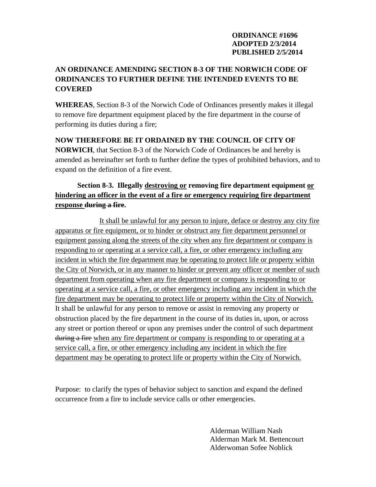#### **ORDINANCE #1696 ADOPTED 2/3/2014 PUBLISHED 2/5/2014**

## **AN ORDINANCE AMENDING SECTION 8-3 OF THE NORWICH CODE OF ORDINANCES TO FURTHER DEFINE THE INTENDED EVENTS TO BE COVERED**

**WHEREAS**, Section 8-3 of the Norwich Code of Ordinances presently makes it illegal to remove fire department equipment placed by the fire department in the course of performing its duties during a fire;

**NOW THEREFORE BE IT ORDAINED BY THE COUNCIL OF CITY OF NORWICH**, that Section 8-3 of the Norwich Code of Ordinances be and hereby is amended as hereinafter set forth to further define the types of prohibited behaviors, and to expand on the definition of a fire event.

# **Section 8-3. Illegally destroying or removing fire department equipment or hindering an officer in the event of a fire or emergency requiring fire department response during a fire.**

 It shall be unlawful for any person to injure, deface or destroy any city fire apparatus or fire equipment, or to hinder or obstruct any fire department personnel or equipment passing along the streets of the city when any fire department or company is responding to or operating at a service call, a fire, or other emergency including any incident in which the fire department may be operating to protect life or property within the City of Norwich, or in any manner to hinder or prevent any officer or member of such department from operating when any fire department or company is responding to or operating at a service call, a fire, or other emergency including any incident in which the fire department may be operating to protect life or property within the City of Norwich. It shall be unlawful for any person to remove or assist in removing any property or obstruction placed by the fire department in the course of its duties in, upon, or across any street or portion thereof or upon any premises under the control of such department during a fire when any fire department or company is responding to or operating at a service call, a fire, or other emergency including any incident in which the fire department may be operating to protect life or property within the City of Norwich.

Purpose: to clarify the types of behavior subject to sanction and expand the defined occurrence from a fire to include service calls or other emergencies.

> Alderman William Nash Alderman Mark M. Bettencourt Alderwoman Sofee Noblick